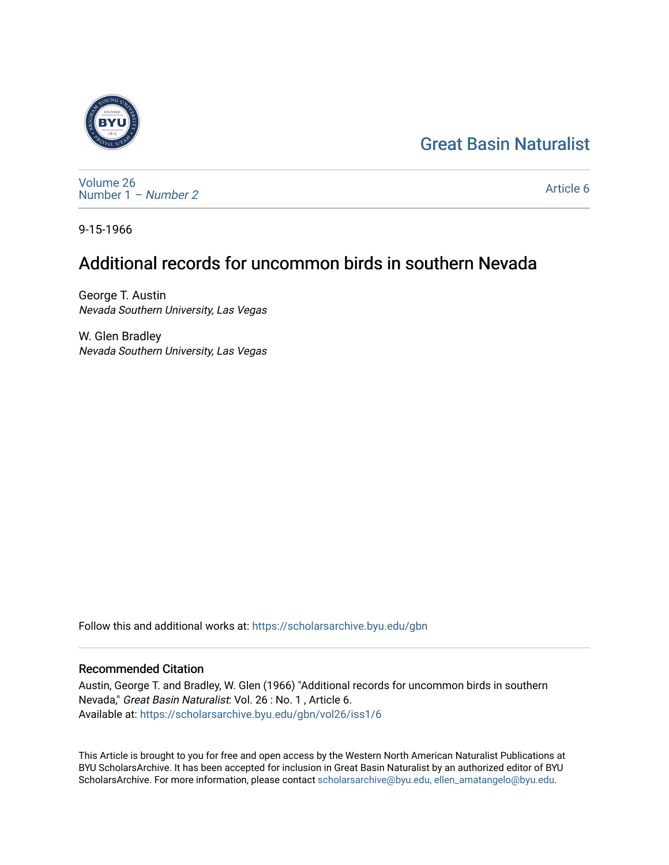# [Great Basin Naturalist](https://scholarsarchive.byu.edu/gbn)



[Volume 26](https://scholarsarchive.byu.edu/gbn/vol26) [Number 1](https://scholarsarchive.byu.edu/gbn/vol26/iss1) – Number 2

[Article 6](https://scholarsarchive.byu.edu/gbn/vol26/iss1/6) 

9-15-1966

# Additional records for uncommon birds in southern Nevada

George T. Austin Nevada Southern University, Las Vegas

W. Glen Bradley Nevada Southern University, Las Vegas

Follow this and additional works at: [https://scholarsarchive.byu.edu/gbn](https://scholarsarchive.byu.edu/gbn?utm_source=scholarsarchive.byu.edu%2Fgbn%2Fvol26%2Fiss1%2F6&utm_medium=PDF&utm_campaign=PDFCoverPages) 

## Recommended Citation

Austin, George T. and Bradley, W. Glen (1966) "Additional records for uncommon birds in southern Nevada," Great Basin Naturalist: Vol. 26 : No. 1 , Article 6. Available at: [https://scholarsarchive.byu.edu/gbn/vol26/iss1/6](https://scholarsarchive.byu.edu/gbn/vol26/iss1/6?utm_source=scholarsarchive.byu.edu%2Fgbn%2Fvol26%2Fiss1%2F6&utm_medium=PDF&utm_campaign=PDFCoverPages)

This Article is brought to you for free and open access by the Western North American Naturalist Publications at BYU ScholarsArchive. It has been accepted for inclusion in Great Basin Naturalist by an authorized editor of BYU ScholarsArchive. For more information, please contact [scholarsarchive@byu.edu, ellen\\_amatangelo@byu.edu.](mailto:scholarsarchive@byu.edu,%20ellen_amatangelo@byu.edu)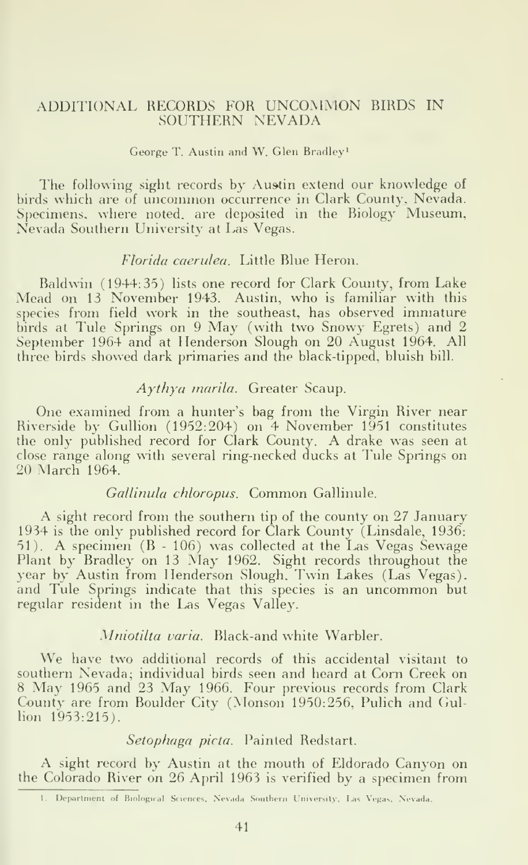### ADDITIONAL RECORDS FOR UNCOMMON BIRDS IN SOUTHERN NEVADA

#### George T. Austin and W. Glen Bradley^

The following sight records by Austin extend our knowledge of birds which are of uncommon occurrence in Clark County, Nevada. Specimens, where noted, are deposited in the Biology Museum, Nevada Southern University at Las Vegas.

## Florida caerulea. Little Blue Heron.

Baldwin (1944:35) lists one record for Clark County, from Lake Mead on 13 November 1943. Austin, who is familiar with this species from field work in the southeast, has observed immature birds at Tule Springs on <sup>9</sup> May (with two Snowy Egrets) and 2 September 1964 and at Henderson Slough on 20 August 1964. All three birds showed dark primaries and the black-tipped, bluish bill.

#### Aythya marila. Greater Scaup.

One examined from a hunter's bag from the Virgin River near Riverside by Gullion (1952:204) on 4 November 1951 constitutes the only published record for Clark County. A drake was seen at close range along with several ring-necked ducks at Tule Springs on 20 March 1964.

#### Gallinula chloropus. Common Gallinule.

A sight record from the southern tip of the county on 27 January 1934 is the only published record for Clark County (Linsdale, 1936: 51). A specimen (B - 106) was collected at the Las Vegas Sewage Plant by Bradley on <sup>13</sup> May 1962. Sight records throughout the year by Austin from Henderson Slough. Twin Lakes (Las Vegas). and Tule Springs indicate that this species is an uncommon but regular resident in the Las Vegas Valley.

## Mniotilta varia. Black-and white Warbler.

We have two additional records of this accidental visitant to southern Nevada; individual birds seen and heard at Com Creek on <sup>8</sup> May <sup>1965</sup> and <sup>23</sup> May 1966. Four previous records from Clark County are from Boulder City (Monson 1950:256, Pulich and Ciul lion 1953:215).

#### Setophaga picta. Painted Redstart.

A sight record by Austin at the mouth of Eldorado Canyon on the Colorado River on 26 April 1963 is verified by a specimen from

<sup>1.</sup> Ueparlnient of Biological Sciences, Nevada Southern University, I.as Vegas, Nevada.